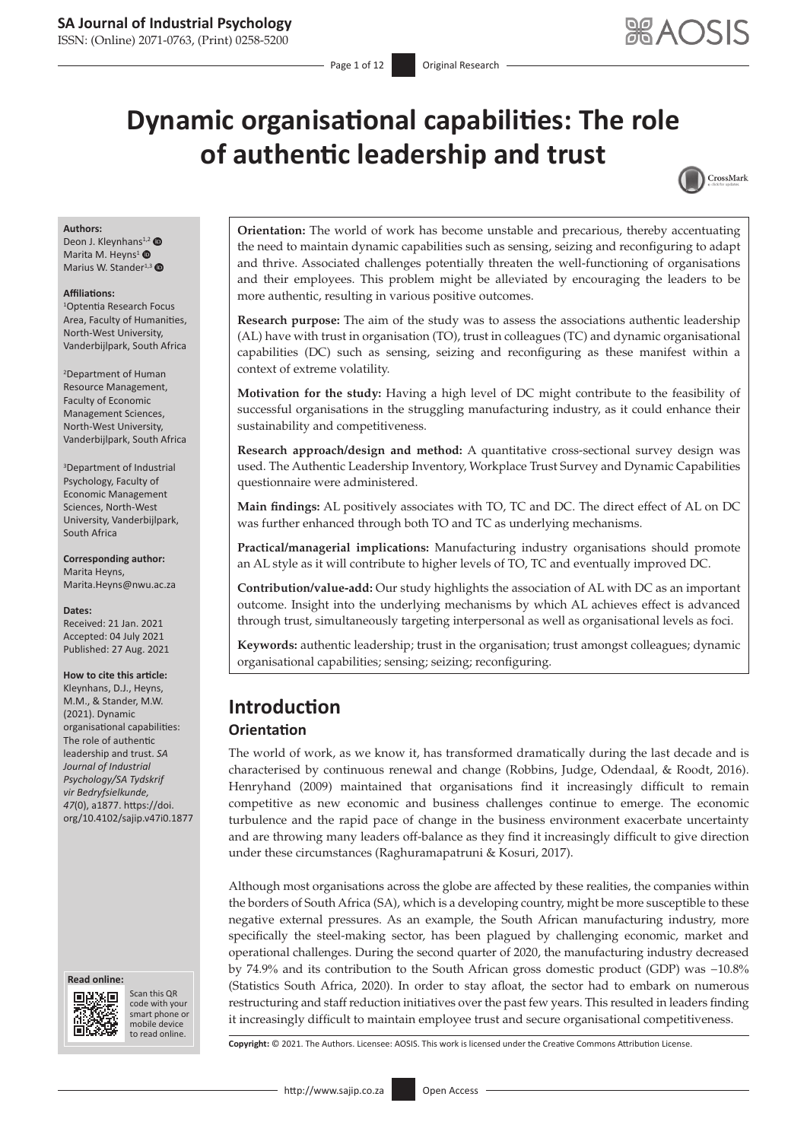ISSN: (Online) 2071-0763, (Print) 0258-5200

# **Dynamic organisational capabilities: The role of authentic leadership and trust**



#### **Authors:**

Deon J. Kleynhans<sup>1,[2](http://orcid.org/0000-0002-3096-9651)</sup> Marita M. Heyns<sup>[1](http://orcid.org/0000-0002-8829-9857)</sup> <sup>®</sup> Marius W. Stander<sup>1,[3](http://orcid.org/0000-0003-3351-9581)</sup> <sup>O</sup>

#### **Affiliations:**

1 Optentia Research Focus Area, Faculty of Humanities, North-West University, Vanderbijlpark, South Africa

2 Department of Human Resource Management, Faculty of Economic Management Sciences, North-West University, Vanderbijlpark, South Africa

3 Department of Industrial Psychology, Faculty of Economic Management Sciences, North-West University, Vanderbijlpark, South Africa

**Corresponding author:** Marita Heyns, [Marita.Heyns@nwu.ac.za](mailto:Marita.Heyns@nwu.ac.za)

**Dates:** Received: 21 Jan. 2021 Accepted: 04 July 2021 Published: 27 Aug. 2021

#### **How to cite this article:**

Kleynhans, D.J., Heyns, M.M., & Stander, M.W. (2021). Dynamic organisational capabilities: The role of authentic leadership and trust. *SA Journal of Industrial Psychology/SA Tydskrif vir Bedryfsielkunde, 47*(0), a1877. [https://doi.](https://doi.org/10.4102/sajip.v47i0.1877) [org/10.4102/sajip.v47i0.1877](https://doi.org/10.4102/sajip.v47i0.1877) 





Scan this QR code with your Scan this QR<br>code with your<br>smart phone or<br>mobile device mobile device to read online. to read online.

**Orientation:** The world of work has become unstable and precarious, thereby accentuating the need to maintain dynamic capabilities such as sensing, seizing and reconfiguring to adapt and thrive. Associated challenges potentially threaten the well-functioning of organisations and their employees. This problem might be alleviated by encouraging the leaders to be more authentic, resulting in various positive outcomes.

**Research purpose:** The aim of the study was to assess the associations authentic leadership (AL) have with trust in organisation (TO), trust in colleagues (TC) and dynamic organisational capabilities (DC) such as sensing, seizing and reconfiguring as these manifest within a context of extreme volatility.

**Motivation for the study:** Having a high level of DC might contribute to the feasibility of successful organisations in the struggling manufacturing industry, as it could enhance their sustainability and competitiveness.

**Research approach/design and method:** A quantitative cross-sectional survey design was used. The Authentic Leadership Inventory, Workplace Trust Survey and Dynamic Capabilities questionnaire were administered.

**Main findings:** AL positively associates with TO, TC and DC. The direct effect of AL on DC was further enhanced through both TO and TC as underlying mechanisms.

**Practical/managerial implications:** Manufacturing industry organisations should promote an AL style as it will contribute to higher levels of TO, TC and eventually improved DC.

**Contribution/value-add:** Our study highlights the association of AL with DC as an important outcome. Insight into the underlying mechanisms by which AL achieves effect is advanced through trust, simultaneously targeting interpersonal as well as organisational levels as foci.

**Keywords:** authentic leadership; trust in the organisation; trust amongst colleagues; dynamic organisational capabilities; sensing; seizing; reconfiguring.

# **Introduction**

## **Orientation**

The world of work, as we know it, has transformed dramatically during the last decade and is characterised by continuous renewal and change (Robbins, Judge, Odendaal, & Roodt, 2016). Henryhand (2009) maintained that organisations find it increasingly difficult to remain competitive as new economic and business challenges continue to emerge. The economic turbulence and the rapid pace of change in the business environment exacerbate uncertainty and are throwing many leaders off-balance as they find it increasingly difficult to give direction under these circumstances (Raghuramapatruni & Kosuri, 2017).

Although most organisations across the globe are affected by these realities, the companies within the borders of South Africa (SA), which is a developing country, might be more susceptible to these negative external pressures. As an example, the South African manufacturing industry, more specifically the steel-making sector, has been plagued by challenging economic, market and operational challenges. During the second quarter of 2020, the manufacturing industry decreased by 74.9% and its contribution to the South African gross domestic product (GDP) was −10.8% (Statistics South Africa, 2020). In order to stay afloat, the sector had to embark on numerous restructuring and staff reduction initiatives over the past few years. This resulted in leaders finding it increasingly difficult to maintain employee trust and secure organisational competitiveness.

**Copyright:** © 2021. The Authors. Licensee: AOSIS. This work is licensed under the Creative Commons Attribution License.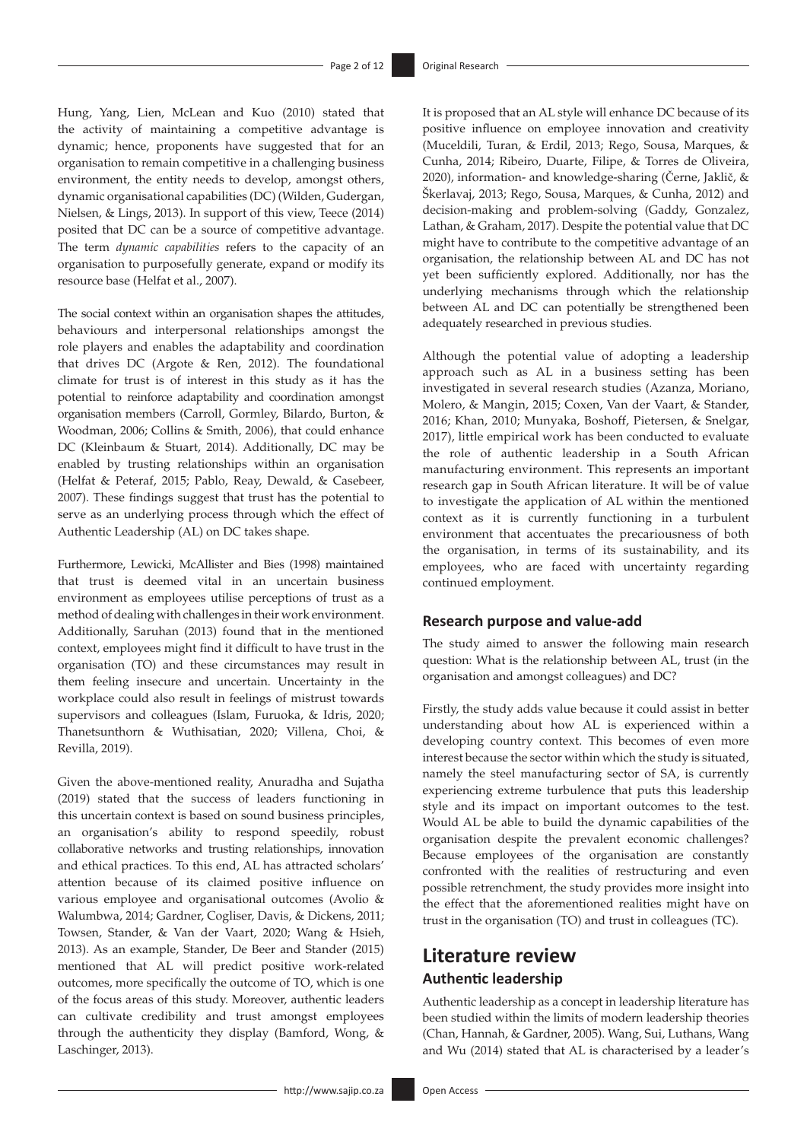Hung, Yang, Lien, McLean and Kuo (2010) stated that the activity of maintaining a competitive advantage is dynamic; hence, proponents have suggested that for an organisation to remain competitive in a challenging business environment, the entity needs to develop, amongst others, dynamic organisational capabilities (DC) (Wilden, Gudergan, Nielsen, & Lings, 2013). In support of this view, Teece (2014) posited that DC can be a source of competitive advantage. The term *dynamic capabilities* refers to the capacity of an organisation to purposefully generate, expand or modify its resource base (Helfat et al., 2007).

The social context within an organisation shapes the attitudes, behaviours and interpersonal relationships amongst the role players and enables the adaptability and coordination that drives DC (Argote & Ren, 2012). The foundational climate for trust is of interest in this study as it has the potential to reinforce adaptability and coordination amongst organisation members (Carroll, Gormley, Bilardo, Burton, & Woodman, 2006; Collins & Smith, 2006), that could enhance DC (Kleinbaum & Stuart, 2014). Additionally, DC may be enabled by trusting relationships within an organisation (Helfat & Peteraf, 2015; Pablo, Reay, Dewald, & Casebeer, 2007). These findings suggest that trust has the potential to serve as an underlying process through which the effect of Authentic Leadership (AL) on DC takes shape.

Furthermore, Lewicki, McAllister and Bies (1998) maintained that trust is deemed vital in an uncertain business environment as employees utilise perceptions of trust as a method of dealing with challenges in their work environment. Additionally, Saruhan (2013) found that in the mentioned context, employees might find it difficult to have trust in the organisation (TO) and these circumstances may result in them feeling insecure and uncertain. Uncertainty in the workplace could also result in feelings of mistrust towards supervisors and colleagues (Islam, Furuoka, & Idris, 2020; Thanetsunthorn & Wuthisatian, 2020; Villena, Choi, & Revilla, 2019).

Given the above-mentioned reality, Anuradha and Sujatha (2019) stated that the success of leaders functioning in this uncertain context is based on sound business principles, an organisation's ability to respond speedily, robust collaborative networks and trusting relationships, innovation and ethical practices. To this end, AL has attracted scholars' attention because of its claimed positive influence on various employee and organisational outcomes (Avolio & Walumbwa, 2014; Gardner, Cogliser, Davis, & Dickens, 2011; Towsen, Stander, & Van der Vaart, 2020; Wang & Hsieh, 2013). As an example, Stander, De Beer and Stander (2015) mentioned that AL will predict positive work-related outcomes, more specifically the outcome of TO, which is one of the focus areas of this study. Moreover, authentic leaders can cultivate credibility and trust amongst employees through the authenticity they display (Bamford, Wong, & Laschinger, 2013).

It is proposed that an AL style will enhance DC because of its positive influence on employee innovation and creativity (Muceldili, Turan, & Erdil, 2013; Rego, Sousa, Marques, & Cunha, 2014; Ribeiro, Duarte, Filipe, & Torres de Oliveira, 2020), information- and knowledge-sharing (Černe, Jaklič, & Škerlavaj, 2013; Rego, Sousa, Marques, & Cunha, 2012) and decision-making and problem-solving (Gaddy, Gonzalez, Lathan, & Graham, 2017). Despite the potential value that DC might have to contribute to the competitive advantage of an organisation, the relationship between AL and DC has not yet been sufficiently explored. Additionally, nor has the underlying mechanisms through which the relationship between AL and DC can potentially be strengthened been adequately researched in previous studies.

Although the potential value of adopting a leadership approach such as AL in a business setting has been investigated in several research studies (Azanza, Moriano, Molero, & Mangin, 2015; Coxen, Van der Vaart, & Stander, 2016; Khan, 2010; Munyaka, Boshoff, Pietersen, & Snelgar, 2017), little empirical work has been conducted to evaluate the role of authentic leadership in a South African manufacturing environment. This represents an important research gap in South African literature. It will be of value to investigate the application of AL within the mentioned context as it is currently functioning in a turbulent environment that accentuates the precariousness of both the organisation, in terms of its sustainability, and its employees, who are faced with uncertainty regarding continued employment.

## **Research purpose and value-add**

The study aimed to answer the following main research question: What is the relationship between AL, trust (in the organisation and amongst colleagues) and DC?

Firstly, the study adds value because it could assist in better understanding about how AL is experienced within a developing country context. This becomes of even more interest because the sector within which the study is situated, namely the steel manufacturing sector of SA, is currently experiencing extreme turbulence that puts this leadership style and its impact on important outcomes to the test. Would AL be able to build the dynamic capabilities of the organisation despite the prevalent economic challenges? Because employees of the organisation are constantly confronted with the realities of restructuring and even possible retrenchment, the study provides more insight into the effect that the aforementioned realities might have on trust in the organisation (TO) and trust in colleagues (TC).

# **Literature review Authentic leadership**

Authentic leadership as a concept in leadership literature has been studied within the limits of modern leadership theories (Chan, Hannah, & Gardner, 2005). Wang, Sui, Luthans, Wang and Wu (2014) stated that AL is characterised by a leader's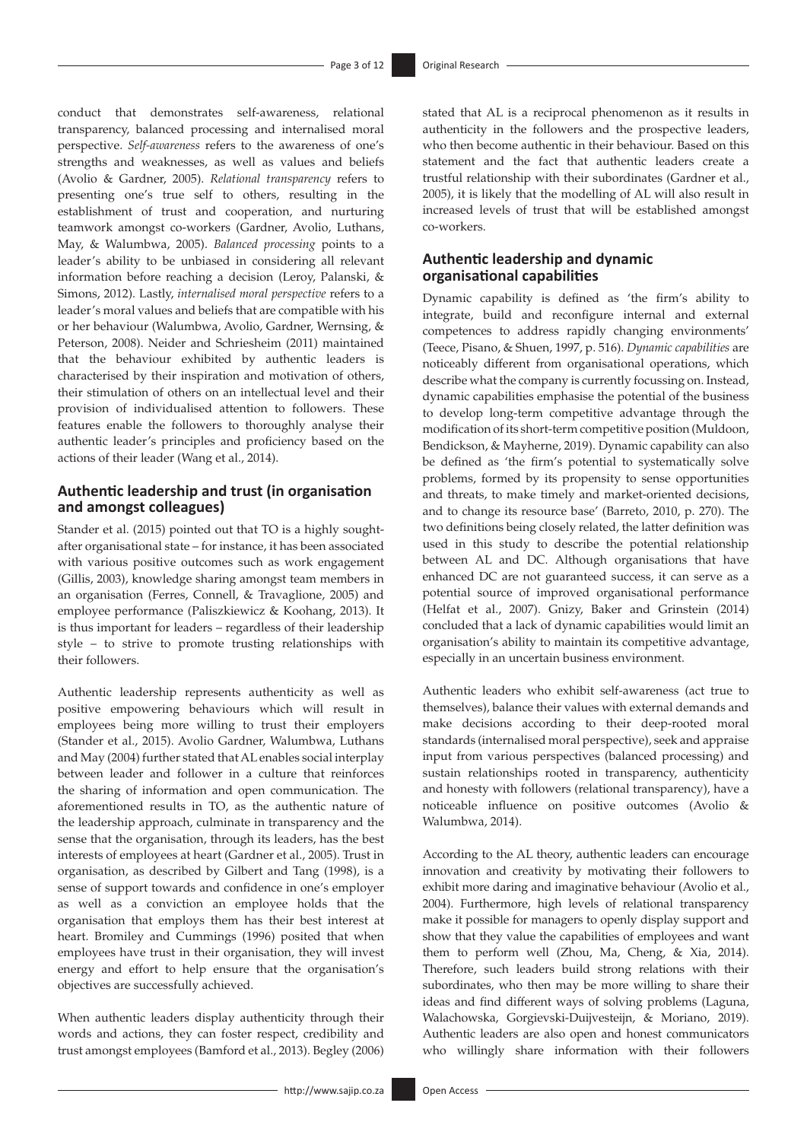conduct that demonstrates self-awareness, relational transparency, balanced processing and internalised moral perspective. *Self-awareness* refers to the awareness of one's strengths and weaknesses, as well as values and beliefs (Avolio & Gardner, 2005). *Relational transparency* refers to presenting one's true self to others, resulting in the establishment of trust and cooperation, and nurturing teamwork amongst co-workers (Gardner, Avolio, Luthans, May, & Walumbwa, 2005). *Balanced processing* points to a leader's ability to be unbiased in considering all relevant information before reaching a decision (Leroy, Palanski, & Simons, 2012). Lastly, *internalised moral perspective* refers to a leader's moral values and beliefs that are compatible with his or her behaviour (Walumbwa, Avolio, Gardner, Wernsing, & Peterson, 2008). Neider and Schriesheim (2011) maintained that the behaviour exhibited by authentic leaders is characterised by their inspiration and motivation of others, their stimulation of others on an intellectual level and their provision of individualised attention to followers. These features enable the followers to thoroughly analyse their authentic leader's principles and proficiency based on the actions of their leader (Wang et al., 2014).

# **Authentic leadership and trust (in organisation and amongst colleagues)**

Stander et al. (2015) pointed out that TO is a highly soughtafter organisational state – for instance, it has been associated with various positive outcomes such as work engagement (Gillis, 2003), knowledge sharing amongst team members in an organisation (Ferres, Connell, & Travaglione, 2005) and employee performance (Paliszkiewicz & Koohang, 2013). It is thus important for leaders – regardless of their leadership style – to strive to promote trusting relationships with their followers.

Authentic leadership represents authenticity as well as positive empowering behaviours which will result in employees being more willing to trust their employers (Stander et al., 2015). Avolio Gardner, Walumbwa, Luthans and May (2004) further stated that AL enables social interplay between leader and follower in a culture that reinforces the sharing of information and open communication. The aforementioned results in TO, as the authentic nature of the leadership approach, culminate in transparency and the sense that the organisation, through its leaders, has the best interests of employees at heart (Gardner et al., 2005). Trust in organisation, as described by Gilbert and Tang (1998), is a sense of support towards and confidence in one's employer as well as a conviction an employee holds that the organisation that employs them has their best interest at heart. Bromiley and Cummings (1996) posited that when employees have trust in their organisation, they will invest energy and effort to help ensure that the organisation's objectives are successfully achieved.

When authentic leaders display authenticity through their words and actions, they can foster respect, credibility and trust amongst employees (Bamford et al., 2013). Begley (2006)

stated that AL is a reciprocal phenomenon as it results in authenticity in the followers and the prospective leaders, who then become authentic in their behaviour. Based on this statement and the fact that authentic leaders create a trustful relationship with their subordinates (Gardner et al., 2005), it is likely that the modelling of AL will also result in increased levels of trust that will be established amongst co-workers.

# **Authentic leadership and dynamic organisational capabilities**

Dynamic capability is defined as 'the firm's ability to integrate, build and reconfigure internal and external competences to address rapidly changing environments' (Teece, Pisano, & Shuen, 1997, p. 516). *Dynamic capabilities* are noticeably different from organisational operations, which describe what the company is currently focussing on. Instead, dynamic capabilities emphasise the potential of the business to develop long-term competitive advantage through the modification of its short-term competitive position (Muldoon, Bendickson, & Mayherne, 2019). Dynamic capability can also be defined as 'the firm's potential to systematically solve problems, formed by its propensity to sense opportunities and threats, to make timely and market-oriented decisions, and to change its resource base' (Barreto, 2010, p. 270). The two definitions being closely related, the latter definition was used in this study to describe the potential relationship between AL and DC. Although organisations that have enhanced DC are not guaranteed success, it can serve as a potential source of improved organisational performance (Helfat et al., 2007). Gnizy, Baker and Grinstein (2014) concluded that a lack of dynamic capabilities would limit an organisation's ability to maintain its competitive advantage, especially in an uncertain business environment.

Authentic leaders who exhibit self-awareness (act true to themselves), balance their values with external demands and make decisions according to their deep-rooted moral standards (internalised moral perspective), seek and appraise input from various perspectives (balanced processing) and sustain relationships rooted in transparency, authenticity and honesty with followers (relational transparency), have a noticeable influence on positive outcomes (Avolio & Walumbwa, 2014).

According to the AL theory, authentic leaders can encourage innovation and creativity by motivating their followers to exhibit more daring and imaginative behaviour (Avolio et al., 2004). Furthermore, high levels of relational transparency make it possible for managers to openly display support and show that they value the capabilities of employees and want them to perform well (Zhou, Ma, Cheng, & Xia, 2014). Therefore, such leaders build strong relations with their subordinates, who then may be more willing to share their ideas and find different ways of solving problems (Laguna, Walachowska, Gorgievski-Duijvesteijn, & Moriano, 2019). Authentic leaders are also open and honest communicators who willingly share information with their followers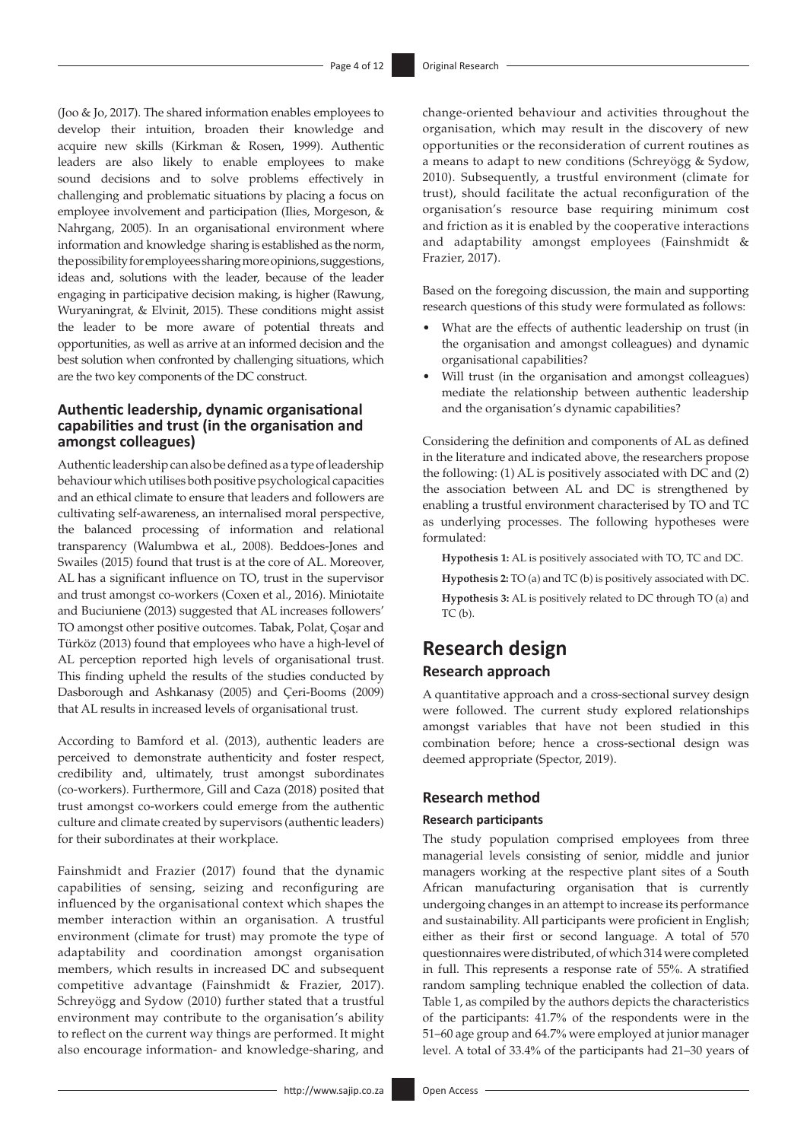(Joo & Jo, 2017). The shared information enables employees to develop their intuition, broaden their knowledge and acquire new skills (Kirkman & Rosen, 1999). Authentic leaders are also likely to enable employees to make sound decisions and to solve problems effectively in challenging and problematic situations by placing a focus on employee involvement and participation (Ilies, Morgeson, & Nahrgang, 2005). In an organisational environment where information and knowledge sharing is established as the norm, the possibility for employees sharing more opinions, suggestions, ideas and, solutions with the leader, because of the leader engaging in participative decision making, is higher (Rawung, Wuryaningrat, & Elvinit, 2015). These conditions might assist the leader to be more aware of potential threats and opportunities, as well as arrive at an informed decision and the best solution when confronted by challenging situations, which are the two key components of the DC construct.

# **Authentic leadership, dynamic organisational capabilities and trust (in the organisation and amongst colleagues)**

Authentic leadership can also be defined as a type of leadership behaviour which utilises both positive psychological capacities and an ethical climate to ensure that leaders and followers are cultivating self-awareness, an internalised moral perspective, the balanced processing of information and relational transparency (Walumbwa et al., 2008). Beddoes-Jones and Swailes (2015) found that trust is at the core of AL. Moreover, AL has a significant influence on TO, trust in the supervisor and trust amongst co-workers (Coxen et al., 2016). Miniotaite and Buciuniene (2013) suggested that AL increases followers' TO amongst other positive outcomes. Tabak, Polat, Çoşar and Türköz (2013) found that employees who have a high-level of AL perception reported high levels of organisational trust. This finding upheld the results of the studies conducted by Dasborough and Ashkanasy (2005) and Çeri-Booms (2009) that AL results in increased levels of organisational trust.

According to Bamford et al. (2013), authentic leaders are perceived to demonstrate authenticity and foster respect, credibility and, ultimately, trust amongst subordinates (co-workers). Furthermore, Gill and Caza (2018) posited that trust amongst co-workers could emerge from the authentic culture and climate created by supervisors (authentic leaders) for their subordinates at their workplace.

Fainshmidt and Frazier (2017) found that the dynamic capabilities of sensing, seizing and reconfiguring are influenced by the organisational context which shapes the member interaction within an organisation. A trustful environment (climate for trust) may promote the type of adaptability and coordination amongst organisation members, which results in increased DC and subsequent competitive advantage (Fainshmidt & Frazier, 2017). Schreyögg and Sydow (2010) further stated that a trustful environment may contribute to the organisation's ability to reflect on the current way things are performed. It might also encourage information- and knowledge-sharing, and change-oriented behaviour and activities throughout the organisation, which may result in the discovery of new opportunities or the reconsideration of current routines as a means to adapt to new conditions (Schreyögg & Sydow, 2010). Subsequently, a trustful environment (climate for trust), should facilitate the actual reconfiguration of the organisation's resource base requiring minimum cost and friction as it is enabled by the cooperative interactions and adaptability amongst employees (Fainshmidt & Frazier, 2017).

Based on the foregoing discussion, the main and supporting research questions of this study were formulated as follows:

- What are the effects of authentic leadership on trust (in the organisation and amongst colleagues) and dynamic organisational capabilities?
- Will trust (in the organisation and amongst colleagues) mediate the relationship between authentic leadership and the organisation's dynamic capabilities?

Considering the definition and components of AL as defined in the literature and indicated above, the researchers propose the following: (1) AL is positively associated with DC and (2) the association between AL and DC is strengthened by enabling a trustful environment characterised by TO and TC as underlying processes. The following hypotheses were formulated:

**Hypothesis 1:** AL is positively associated with TO, TC and DC.

- **Hypothesis 2:** TO (a) and TC (b) is positively associated with DC.
- **Hypothesis 3:** AL is positively related to DC through TO (a) and  $TC(b)$ .

# **Research design**

# **Research approach**

A quantitative approach and a cross-sectional survey design were followed. The current study explored relationships amongst variables that have not been studied in this combination before; hence a cross-sectional design was deemed appropriate (Spector, 2019).

## **Research method**

#### **Research participants**

The study population comprised employees from three managerial levels consisting of senior, middle and junior managers working at the respective plant sites of a South African manufacturing organisation that is currently undergoing changes in an attempt to increase its performance and sustainability. All participants were proficient in English; either as their first or second language. A total of 570 questionnaires were distributed, of which 314 were completed in full. This represents a response rate of 55%. A stratified random sampling technique enabled the collection of data. Table 1, as compiled by the authors depicts the characteristics of the participants: 41.7% of the respondents were in the 51–60 age group and 64.7% were employed at junior manager level. A total of 33.4% of the participants had 21–30 years of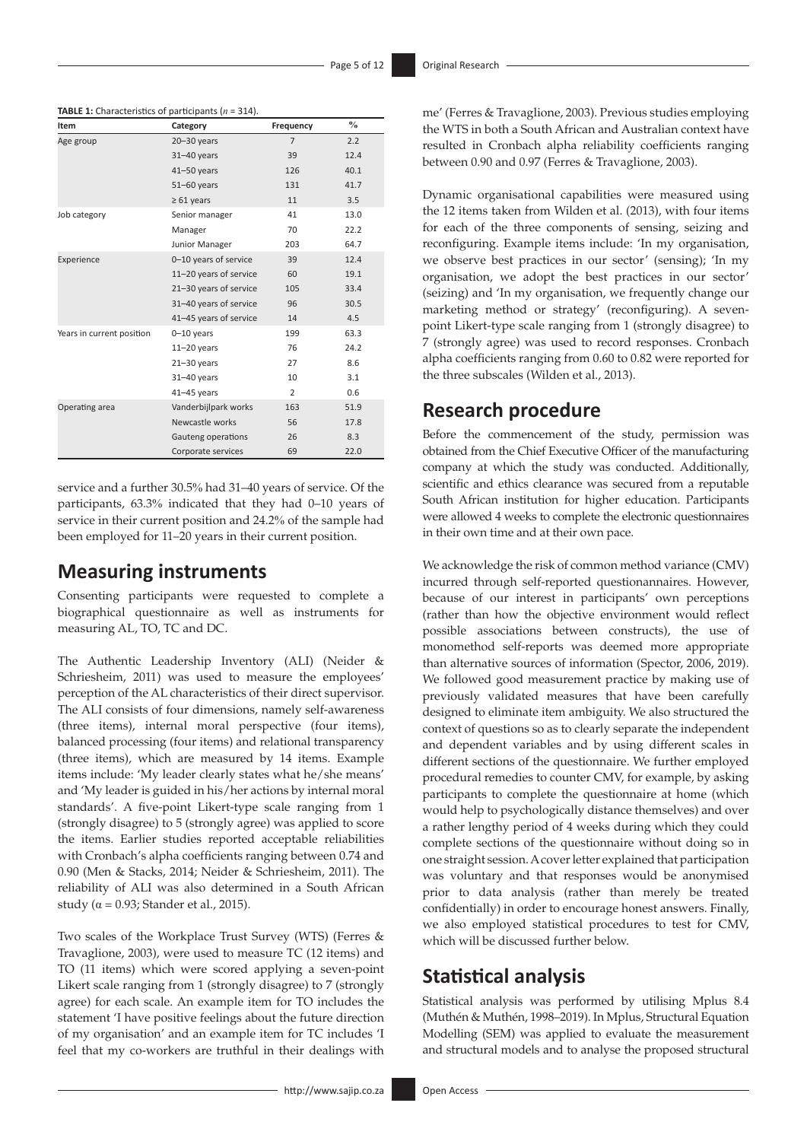| Item                      | Category               | Frequency      | $\frac{0}{0}$ |
|---------------------------|------------------------|----------------|---------------|
| Age group                 | $20 - 30$ years        | $\overline{7}$ | 2.2           |
|                           | $31 - 40$ years        | 39             | 12.4          |
|                           | $41 - 50$ years        | 126            | 40.1          |
|                           | $51 - 60$ years        | 131            | 41.7          |
|                           | $\geq 61$ years        | 11             | 3.5           |
| Job category              | Senior manager         | 41             | 13.0          |
|                           | Manager                | 70             | 22.2          |
|                           | Junior Manager         | 203            | 64.7          |
| Experience                | 0-10 years of service  | 39             | 12.4          |
|                           | 11-20 years of service | 60             | 19.1          |
|                           | 21-30 years of service | 105            | 33.4          |
|                           | 31-40 years of service | 96             | 30.5          |
|                           | 41-45 years of service | 14             | 4.5           |
| Years in current position | $0 - 10$ years         | 199            | 63.3          |
|                           | $11-20$ years          | 76             | 24.2          |
|                           | $21 - 30$ years        | 27             | 8.6           |
|                           | $31 - 40$ years        | 10             | 3.1           |
|                           | $41 - 45$ years        | $\overline{2}$ | 0.6           |
| Operating area            | Vanderbijlpark works   | 163            | 51.9          |
|                           | Newcastle works        | 56             | 17.8          |
|                           | Gauteng operations     | 26             | 8.3           |
|                           | Corporate services     | 69             | 22.0          |

**TABLE 1:** Characteristics of participants (*n* = 314).

service and a further 30.5% had 31–40 years of service. Of the participants, 63.3% indicated that they had 0–10 years of service in their current position and 24.2% of the sample had been employed for 11–20 years in their current position.

# **Measuring instruments**

Consenting participants were requested to complete a biographical questionnaire as well as instruments for measuring AL, TO, TC and DC.

The Authentic Leadership Inventory (ALI) (Neider & Schriesheim, 2011) was used to measure the employees' perception of the AL characteristics of their direct supervisor. The ALI consists of four dimensions, namely self-awareness (three items), internal moral perspective (four items), balanced processing (four items) and relational transparency (three items), which are measured by 14 items. Example items include: 'My leader clearly states what he/she means' and 'My leader is guided in his/her actions by internal moral standards'. A five-point Likert-type scale ranging from 1 (strongly disagree) to 5 (strongly agree) was applied to score the items. Earlier studies reported acceptable reliabilities with Cronbach's alpha coefficients ranging between 0.74 and 0.90 (Men & Stacks, 2014; Neider & Schriesheim, 2011). The reliability of ALI was also determined in a South African study ( $\alpha$  = 0.93; Stander et al., 2015).

Two scales of the Workplace Trust Survey (WTS) (Ferres & Travaglione, 2003), were used to measure TC (12 items) and TO (11 items) which were scored applying a seven-point Likert scale ranging from 1 (strongly disagree) to 7 (strongly agree) for each scale. An example item for TO includes the statement 'I have positive feelings about the future direction of my organisation' and an example item for TC includes 'I feel that my co-workers are truthful in their dealings with

me' (Ferres & Travaglione, 2003). Previous studies employing the WTS in both a South African and Australian context have resulted in Cronbach alpha reliability coefficients ranging between 0.90 and 0.97 (Ferres & Travaglione, 2003).

Dynamic organisational capabilities were measured using the 12 items taken from Wilden et al. (2013), with four items for each of the three components of sensing, seizing and reconfiguring. Example items include: 'In my organisation, we observe best practices in our sector' (sensing); 'In my organisation, we adopt the best practices in our sector' (seizing) and 'In my organisation, we frequently change our marketing method or strategy' (reconfiguring). A sevenpoint Likert-type scale ranging from 1 (strongly disagree) to 7 (strongly agree) was used to record responses. Cronbach alpha coefficients ranging from 0.60 to 0.82 were reported for the three subscales (Wilden et al., 2013).

# **Research procedure**

Before the commencement of the study, permission was obtained from the Chief Executive Officer of the manufacturing company at which the study was conducted. Additionally, scientific and ethics clearance was secured from a reputable South African institution for higher education. Participants were allowed 4 weeks to complete the electronic questionnaires in their own time and at their own pace.

We acknowledge the risk of common method variance (CMV) incurred through self-reported questionannaires. However, because of our interest in participants' own perceptions (rather than how the objective environment would reflect possible associations between constructs), the use of monomethod self-reports was deemed more appropriate than alternative sources of information (Spector, 2006, 2019). We followed good measurement practice by making use of previously validated measures that have been carefully designed to eliminate item ambiguity. We also structured the context of questions so as to clearly separate the independent and dependent variables and by using different scales in different sections of the questionnaire. We further employed procedural remedies to counter CMV, for example, by asking participants to complete the questionnaire at home (which would help to psychologically distance themselves) and over a rather lengthy period of 4 weeks during which they could complete sections of the questionnaire without doing so in one straight session. A cover letter explained that participation was voluntary and that responses would be anonymised prior to data analysis (rather than merely be treated confidentially) in order to encourage honest answers. Finally, we also employed statistical procedures to test for CMV, which will be discussed further below.

# **Statistical analysis**

Statistical analysis was performed by utilising Mplus 8.4 (Muthén & Muthén, 1998–2019). In Mplus, Structural Equation Modelling (SEM) was applied to evaluate the measurement and structural models and to analyse the proposed structural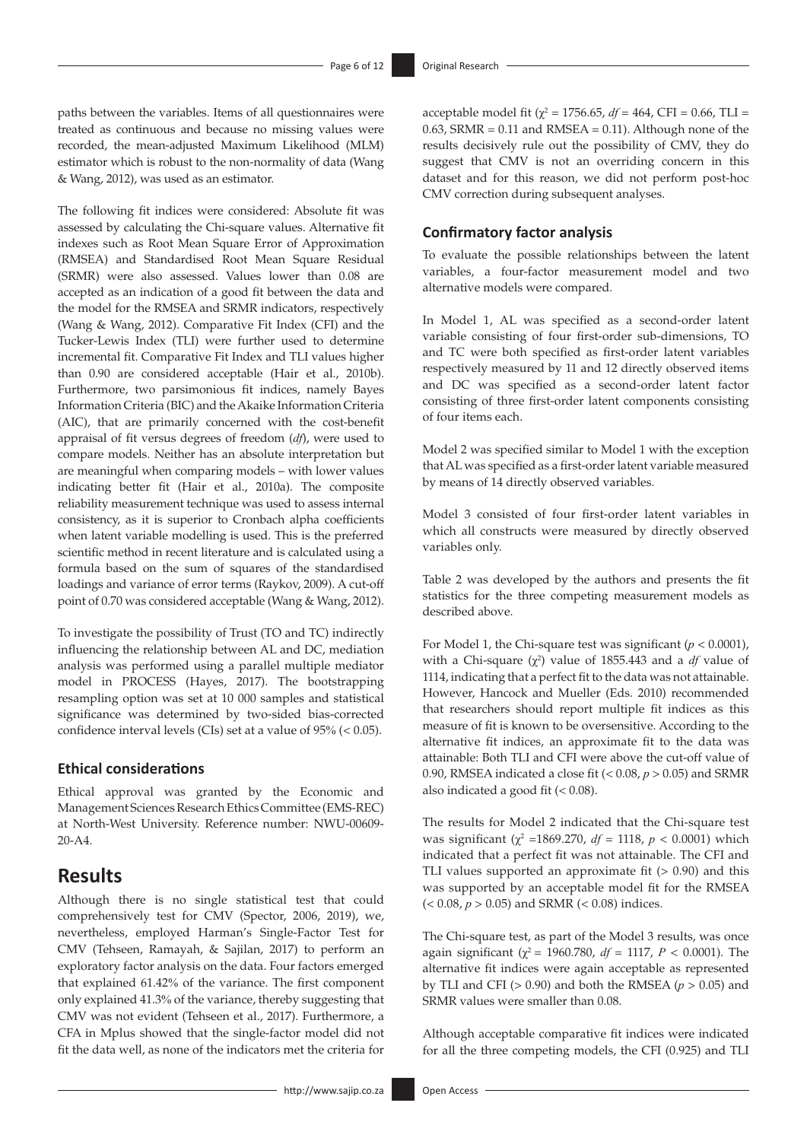paths between the variables. Items of all questionnaires were treated as continuous and because no missing values were recorded, the mean-adjusted Maximum Likelihood (MLM) estimator which is robust to the non-normality of data (Wang & Wang, 2012), was used as an estimator.

The following fit indices were considered: Absolute fit was assessed by calculating the Chi-square values. Alternative fit indexes such as Root Mean Square Error of Approximation (RMSEA) and Standardised Root Mean Square Residual (SRMR) were also assessed. Values lower than 0.08 are accepted as an indication of a good fit between the data and the model for the RMSEA and SRMR indicators, respectively (Wang & Wang, 2012). Comparative Fit Index (CFI) and the Tucker-Lewis Index (TLI) were further used to determine incremental fit. Comparative Fit Index and TLI values higher than 0.90 are considered acceptable (Hair et al., 2010b). Furthermore, two parsimonious fit indices, namely Bayes Information Criteria (BIC) and the Akaike Information Criteria (AIC), that are primarily concerned with the cost-benefit appraisal of fit versus degrees of freedom (*df*), were used to compare models. Neither has an absolute interpretation but are meaningful when comparing models – with lower values indicating better fit (Hair et al., 2010a). The composite reliability measurement technique was used to assess internal consistency, as it is superior to Cronbach alpha coefficients when latent variable modelling is used. This is the preferred scientific method in recent literature and is calculated using a formula based on the sum of squares of the standardised loadings and variance of error terms (Raykov, 2009). A cut-off point of 0.70 was considered acceptable (Wang & Wang, 2012).

To investigate the possibility of Trust (TO and TC) indirectly influencing the relationship between AL and DC, mediation analysis was performed using a parallel multiple mediator model in PROCESS (Hayes, 2017). The bootstrapping resampling option was set at 10 000 samples and statistical significance was determined by two-sided bias-corrected confidence interval levels (CIs) set at a value of 95% (< 0.05).

# **Ethical considerations**

Ethical approval was granted by the Economic and Management Sciences Research Ethics Committee (EMS-REC) at North-West University. Reference number: NWU-00609- 20-A4.

# **Results**

Although there is no single statistical test that could comprehensively test for CMV (Spector, 2006, 2019), we, nevertheless, employed Harman's Single-Factor Test for CMV (Tehseen, Ramayah, & Sajilan, 2017) to perform an exploratory factor analysis on the data. Four factors emerged that explained 61.42% of the variance. The first component only explained 41.3% of the variance, thereby suggesting that CMV was not evident (Tehseen et al., 2017). Furthermore, a CFA in Mplus showed that the single-factor model did not fit the data well, as none of the indicators met the criteria for

acceptable model fit ( $χ² = 1756.65$ ,  $df = 464$ , CFI = 0.66, TLI =  $0.63$ , SRMR =  $0.11$  and RMSEA =  $0.11$ ). Although none of the results decisively rule out the possibility of CMV, they do suggest that CMV is not an overriding concern in this dataset and for this reason, we did not perform post-hoc CMV correction during subsequent analyses.

## **Confirmatory factor analysis**

To evaluate the possible relationships between the latent variables, a four-factor measurement model and two alternative models were compared.

In Model 1, AL was specified as a second-order latent variable consisting of four first-order sub-dimensions, TO and TC were both specified as first-order latent variables respectively measured by 11 and 12 directly observed items and DC was specified as a second-order latent factor consisting of three first-order latent components consisting of four items each.

Model 2 was specified similar to Model 1 with the exception that AL was specified as a first-order latent variable measured by means of 14 directly observed variables.

Model 3 consisted of four first-order latent variables in which all constructs were measured by directly observed variables only.

Table 2 was developed by the authors and presents the fit statistics for the three competing measurement models as described above.

For Model 1, the Chi-square test was significant (*p* < 0.0001), with a Chi-square  $(\chi^2)$  value of 1855.443 and a *df* value of 1114, indicating that a perfect fit to the data was not attainable. However, Hancock and Mueller (Eds. 2010) recommended that researchers should report multiple fit indices as this measure of fit is known to be oversensitive. According to the alternative fit indices, an approximate fit to the data was attainable: Both TLI and CFI were above the cut-off value of 0.90, RMSEA indicated a close fit (< 0.08, *p* > 0.05) and SRMR also indicated a good fit  $( $0.08$ ).$ 

The results for Model 2 indicated that the Chi-square test was significant ( $χ² = 1869.270$ ,  $df = 1118$ ,  $p < 0.0001$ ) which indicated that a perfect fit was not attainable. The CFI and TLI values supported an approximate fit (> 0.90) and this was supported by an acceptable model fit for the RMSEA  $(< 0.08, p > 0.05)$  and SRMR  $(< 0.08)$  indices.

The Chi-square test, as part of the Model 3 results, was once again significant ( $\chi^2$  = 1960.780, *df* = 1117, *P* < 0.0001). The alternative fit indices were again acceptable as represented by TLI and CFI ( $> 0.90$ ) and both the RMSEA ( $p > 0.05$ ) and SRMR values were smaller than 0.08.

Although acceptable comparative fit indices were indicated for all the three competing models, the CFI (0.925) and TLI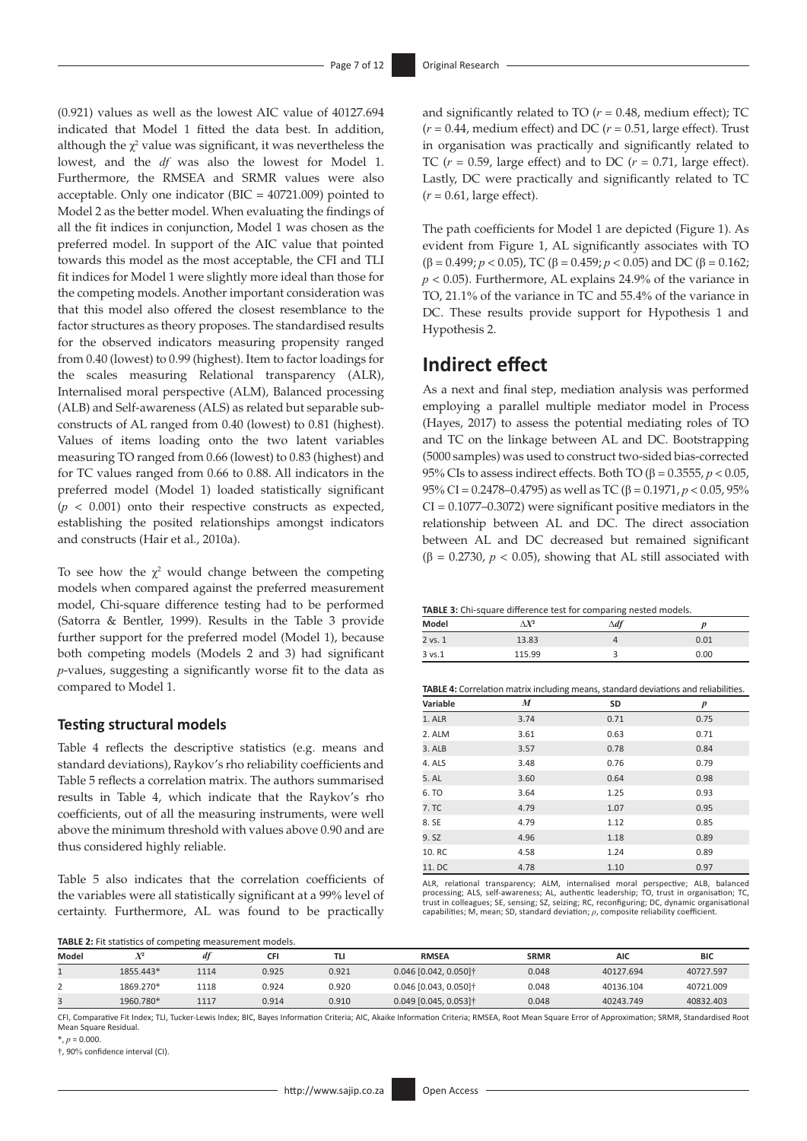(0.921) values as well as the lowest AIC value of 40127.694 indicated that Model 1 fitted the data best. In addition, although the  $\chi^2$  value was significant, it was nevertheless the lowest, and the *df* was also the lowest for Model 1. Furthermore, the RMSEA and SRMR values were also acceptable. Only one indicator (BIC = 40721.009) pointed to Model 2 as the better model. When evaluating the findings of all the fit indices in conjunction, Model 1 was chosen as the preferred model. In support of the AIC value that pointed towards this model as the most acceptable, the CFI and TLI fit indices for Model 1 were slightly more ideal than those for the competing models. Another important consideration was that this model also offered the closest resemblance to the factor structures as theory proposes. The standardised results for the observed indicators measuring propensity ranged from 0.40 (lowest) to 0.99 (highest). Item to factor loadings for the scales measuring Relational transparency (ALR), Internalised moral perspective (ALM), Balanced processing (ALB) and Self-awareness (ALS) as related but separable subconstructs of AL ranged from 0.40 (lowest) to 0.81 (highest). Values of items loading onto the two latent variables measuring TO ranged from 0.66 (lowest) to 0.83 (highest) and for TC values ranged from 0.66 to 0.88. All indicators in the preferred model (Model 1) loaded statistically significant  $(p < 0.001)$  onto their respective constructs as expected, establishing the posited relationships amongst indicators and constructs (Hair et al., 2010a).

To see how the  $\chi^2$  would change between the competing models when compared against the preferred measurement model, Chi-square difference testing had to be performed (Satorra & Bentler, 1999). Results in the Table 3 provide further support for the preferred model (Model 1), because both competing models (Models 2 and 3) had significant *p*-values, suggesting a significantly worse fit to the data as compared to Model 1.

#### **Testing structural models**

Table 4 reflects the descriptive statistics (e.g. means and standard deviations), Raykov's rho reliability coefficients and Table 5 reflects a correlation matrix. The authors summarised results in Table 4, which indicate that the Raykov's rho coefficients, out of all the measuring instruments, were well above the minimum threshold with values above 0.90 and are thus considered highly reliable.

Table 5 also indicates that the correlation coefficients of the variables were all statistically significant at a 99% level of certainty. Furthermore, AL was found to be practically

**TABLE 2:** Fit statistics of competing measurement models.

and significantly related to TO  $(r = 0.48$ , medium effect); TC  $(r = 0.44$ , medium effect) and DC  $(r = 0.51$ , large effect). Trust in organisation was practically and significantly related to TC  $(r = 0.59$ , large effect) and to DC  $(r = 0.71)$ , large effect). Lastly, DC were practically and significantly related to TC  $(r = 0.61, \text{large effect}).$ 

The path coefficients for Model 1 are depicted (Figure 1). As evident from Figure 1, AL significantly associates with TO (β = 0.499; *p* < 0.05), TC (β = 0.459; *p* < 0.05) and DC (β = 0.162; *p* < 0.05). Furthermore, AL explains 24.9% of the variance in TO, 21.1% of the variance in TC and 55.4% of the variance in DC. These results provide support for Hypothesis 1 and Hypothesis 2.

# **Indirect effect**

As a next and final step, mediation analysis was performed employing a parallel multiple mediator model in Process (Hayes, 2017) to assess the potential mediating roles of TO and TC on the linkage between AL and DC. Bootstrapping (5000 samples) was used to construct two-sided bias-corrected 95% CIs to assess indirect effects. Both TO (β = 0.3555, *p* < 0.05, 95% CI = 0.2478–0.4795) as well as TC (β = 0.1971, *p* < 0.05, 95% CI = 0.1077–0.3072) were significant positive mediators in the relationship between AL and DC. The direct association between AL and DC decreased but remained significant ( $\beta$  = 0.2730,  $p$  < 0.05), showing that AL still associated with

| TABLE 3: Chi-square difference test for comparing nested models. |  |  |  |  |  |
|------------------------------------------------------------------|--|--|--|--|--|
|------------------------------------------------------------------|--|--|--|--|--|

| Model       | $\Delta X^2$ | $\Delta df$ | D    |
|-------------|--------------|-------------|------|
| $2$ vs. $1$ | 13.83        |             | 0.01 |
| 3 vs.1      | 115.99       |             | 0.00 |

**TABLE 4:** Correlation matrix including means, standard deviations and reliabilities.

| Variable | M    | SD   | $\boldsymbol{p}$ |
|----------|------|------|------------------|
| 1. ALR   | 3.74 | 0.71 | 0.75             |
| 2. ALM   | 3.61 | 0.63 | 0.71             |
| 3. ALB   | 3.57 | 0.78 | 0.84             |
| 4. ALS   | 3.48 | 0.76 | 0.79             |
| 5. AL    | 3.60 | 0.64 | 0.98             |
| 6. TO    | 3.64 | 1.25 | 0.93             |
| 7. TC    | 4.79 | 1.07 | 0.95             |
| 8. SE    | 4.79 | 1.12 | 0.85             |
| 9. SZ    | 4.96 | 1.18 | 0.89             |
| 10. RC   | 4.58 | 1.24 | 0.89             |
| 11. DC   | 4.78 | 1.10 | 0.97             |

ALR, relational transparency; ALM, internalised moral perspective; ALB, balanced processing; ALS, self-awareness; AL, authentic leadership; TO, trust in organisation; TC, trust in colleagues; SE, sensing; SZ, seizing; RC, reconfiguring; DC, dynamic organisational capabilities; M, mean; SD, standard deviation; *ρ*, composite reliability coefficient.

| Model |           | df   | CFI   | <b>TL</b> | <b>RMSEA</b>                        | <b>SRMR</b> | <b>AIC</b> | <b>BIC</b> |
|-------|-----------|------|-------|-----------|-------------------------------------|-------------|------------|------------|
|       | 1855.443* | 1114 | 0.925 | 0.921     | $0.046$ [0.042, 0.050] $\dagger$    | 0.048       | 40127.694  | 40727.597  |
|       | 1869.270* | 1118 | 0.924 | 0.920     | $0.046$ [0.043, 0.050] <sup>†</sup> | 0.048       | 40136.104  | 40721.009  |
|       | 1960.780* | 1117 | 0.914 | 0.910     | $0.049$ [0.045, 0.053] <sup>†</sup> | 0.048       | 40243.749  | 40832.403  |

CFI, Comparative Fit Index; TLI, Tucker-Lewis Index; BIC, Bayes Information Criteria; AIC, Akaike Information Criteria; RMSEA, Root Mean Square Error of Approximation; SRMR, Standardised Root Mean Square Residual.

 $\pi$ ,  $p = 0.000$ .

†, 90% confidence interval (CI).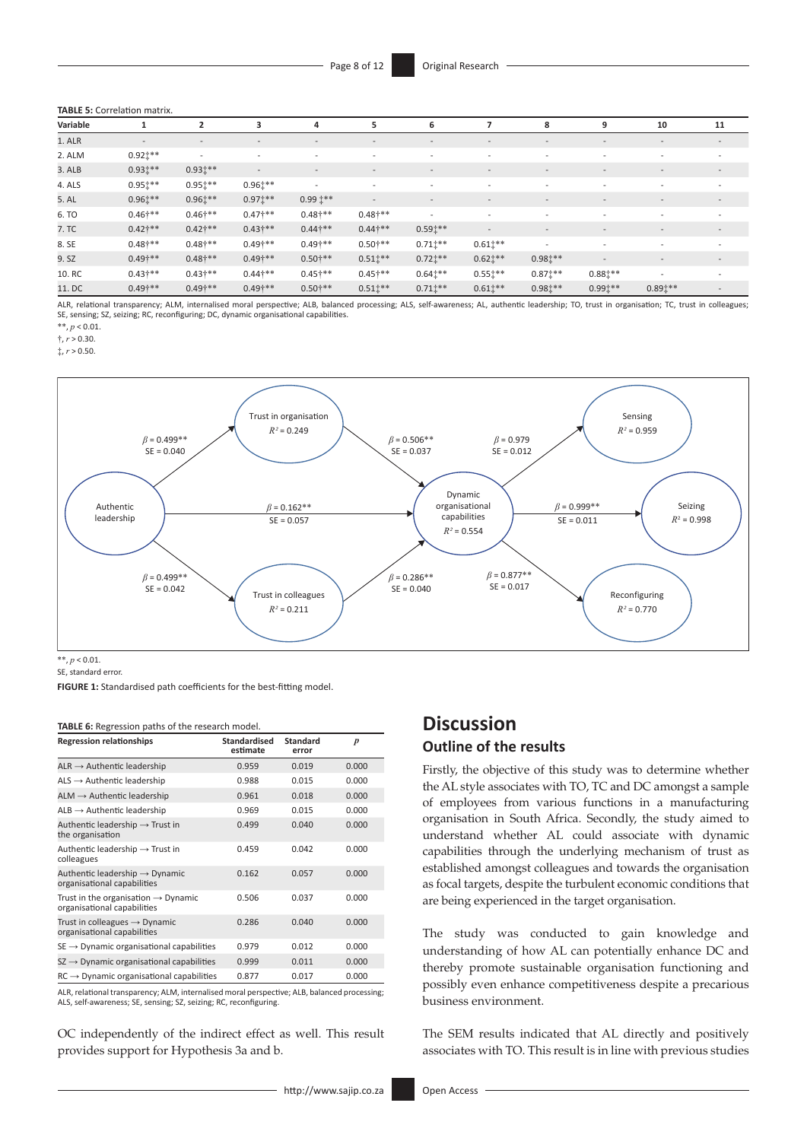#### **TABLE 5:** Correlation matrix.

| Variable |                          |                          |                          | 4                        | 5.                       | 6                        |                          | 8                        | 9                        | 10                       | 11                       |
|----------|--------------------------|--------------------------|--------------------------|--------------------------|--------------------------|--------------------------|--------------------------|--------------------------|--------------------------|--------------------------|--------------------------|
| 1. ALR   | $\overline{\phantom{0}}$ | $\overline{\phantom{0}}$ | $\overline{\phantom{0}}$ | $\overline{\phantom{0}}$ | $\sim$                   | $\overline{\phantom{0}}$ |                          | $\overline{\phantom{0}}$ | $\overline{\phantom{0}}$ | $\overline{\phantom{0}}$ | $\overline{\phantom{a}}$ |
| 2. ALM   | $0.921***$               | $\overline{\phantom{a}}$ |                          | $\overline{\phantom{0}}$ |                          | $\overline{\phantom{0}}$ |                          |                          | $\overline{\phantom{0}}$ |                          |                          |
| 3. ALB   | $0.931***$               | $0.931***$               | $\overline{\phantom{a}}$ | $\overline{\phantom{a}}$ | $\sim$                   | $\overline{\phantom{a}}$ | $\overline{\phantom{0}}$ | $\overline{\phantom{0}}$ | $\overline{\phantom{a}}$ | $\overline{\phantom{0}}$ | $\overline{\phantom{a}}$ |
| 4. ALS   | $0.951***$               | $0.951***$               | $0.961**$                | $\overline{\phantom{a}}$ |                          |                          |                          |                          |                          |                          |                          |
| 5. AL    | $0.961**$                | $0.961**$                | $0.971**$                | $0.991***$               | $\overline{\phantom{a}}$ | $\overline{\phantom{a}}$ | $\overline{\phantom{a}}$ | $\qquad \qquad$          | $\overline{\phantom{a}}$ | $\overline{\phantom{a}}$ | $\overline{\phantom{a}}$ |
| 6. TO    | $0.46$ <sup>***</sup>    | $0.46^{\dagger**}$       | $0.47^{\text{+**}}$      | $0.48$ †**               | $0.48$ <sup>***</sup>    | $\overline{\phantom{a}}$ | $\overline{\phantom{0}}$ | $\overline{\phantom{0}}$ | $\overline{\phantom{0}}$ | $\overline{\phantom{a}}$ | $\overline{\phantom{a}}$ |
| 7. TC    | $0.42$ <sup>**</sup>     | $0.42^{\text{+**}}$      | $0.43^{\dagger**}$       | $0.44$ <sup>***</sup>    | $0.44$ <sup>+**</sup>    | $0.591**$                | $\overline{\phantom{0}}$ |                          | $\overline{\phantom{a}}$ | $\overline{\phantom{a}}$ | $\qquad \qquad$          |
| 8. SE    | $0.48$ <sup>**</sup>     | $0.48$ †**               | $0.49$ <sup>**</sup>     | $0.49$ <sup>***</sup>    | $0.50^{\text{+**}}$      | $0.711**$                | $0.611**$                |                          | $\overline{\phantom{a}}$ | $\overline{\phantom{a}}$ | $\overline{\phantom{a}}$ |
| 9. SZ    | $0.49$ <sup>***</sup>    | $0.48$ <sup>***</sup>    | $0.49^{\text{+**}}$      | $0.50^{\text{**}}$       | $0.511**$                | $0.721**$                | $0.621**$                | $0.981**$                | $\overline{a}$           |                          | $\overline{\phantom{a}}$ |
| 10. RC   | $0.43^{\dagger**}$       | $0.43^{\ast **}$         | $0.44$ <sup>+**</sup>    | $0.45$ <sup>***</sup>    | $0.45^{\ast **}$         | $0.641**$                | $0.551***$               | $0.871***$               | $0.881***$               | $\overline{\phantom{a}}$ | $\overline{\phantom{a}}$ |
| 11. DC   | $0.49$ <sup>***</sup>    | $0.49$ <sup>***</sup>    | $0.49^{\dagger**}$       | $0.50^{\text{+**}}$      | $0.51$ <sup>**</sup>     | $0.71$ $**$              | $0.61$ $**$              | $0.981**$                | $0.99$ $**$              | $0.89$ <sup>**</sup>     | $\overline{\phantom{a}}$ |

ALR, relational transparency; ALM, internalised moral perspective; ALB, balanced processing; ALS, self-awareness; AL, authentic leadership; TO, trust in organisation; TC, trust in colleagues; SE, sensing; SZ, seizing; RC, reconfiguring; DC, dynamic organisational capabilities.

\*\*, *p* < 0.01.

 $\ddagger$ ,  $r > 0.30$ .

 $\ddot{x}$ ,  $r > 0.50$ .



SE, standard error.

**FIGURE 1:** Standardised path coefficients for the best-fitting model.

#### **TABLE 6:** Regression paths of the research model.

| <b>Regression relationships</b>                                                | <b>Standardised</b><br>estimate | <b>Standard</b><br>error | $\boldsymbol{p}$ |
|--------------------------------------------------------------------------------|---------------------------------|--------------------------|------------------|
| $ALR \rightarrow$ Authentic leadership                                         | 0.959                           | 0.019                    | 0.000            |
| $ALS \rightarrow$ Authentic leadership                                         | 0.988                           | 0.015                    | 0.000            |
| $ALM \rightarrow$ Authentic leadership                                         | 0.961                           | 0.018                    | 0.000            |
| $ALB \rightarrow$ Authentic leadership                                         | 0.969                           | 0.015                    | 0.000            |
| Authentic leadership $\rightarrow$ Trust in<br>the organisation                | 0.499                           | 0.040                    | 0.000            |
| Authentic leadership $\rightarrow$ Trust in<br>colleagues                      | 0.459                           | 0.042                    | 0.000            |
| Authentic leadership $\rightarrow$ Dynamic<br>organisational capabilities      | 0.162                           | 0.057                    | 0.000            |
| Trust in the organisation $\rightarrow$ Dynamic<br>organisational capabilities | 0.506                           | 0.037                    | 0.000            |
| Trust in colleagues $\rightarrow$ Dynamic<br>organisational capabilities       | 0.286                           | 0.040                    | 0.000            |
| $SE \rightarrow$ Dynamic organisational capabilities                           | 0.979                           | 0.012                    | 0.000            |
| $SZ \rightarrow D$ ynamic organisational capabilities                          | 0.999                           | 0.011                    | 0.000            |
| $RC \rightarrow$ Dynamic organisational capabilities                           | 0.877                           | 0.017                    | 0.000            |

ALR, relational transparency; ALM, internalised moral perspective; ALB, balanced processing; ALS, self-awareness; SE, sensing; SZ, seizing; RC, reconfiguring.

OC independently of the indirect effect as well. This result provides support for Hypothesis 3a and b.

## thereby promote sustainable organisation functioning and possibly even enhance competitiveness despite a precarious business environment.

**Discussion**

**Outline of the results**

The SEM results indicated that AL directly and positively associates with TO. This result is in line with previous studies

The study was conducted to gain knowledge and understanding of how AL can potentially enhance DC and

Firstly, the objective of this study was to determine whether the AL style associates with TO, TC and DC amongst a sample of employees from various functions in a manufacturing organisation in South Africa. Secondly, the study aimed to understand whether AL could associate with dynamic capabilities through the underlying mechanism of trust as established amongst colleagues and towards the organisation as focal targets, despite the turbulent economic conditions that

are being experienced in the target organisation.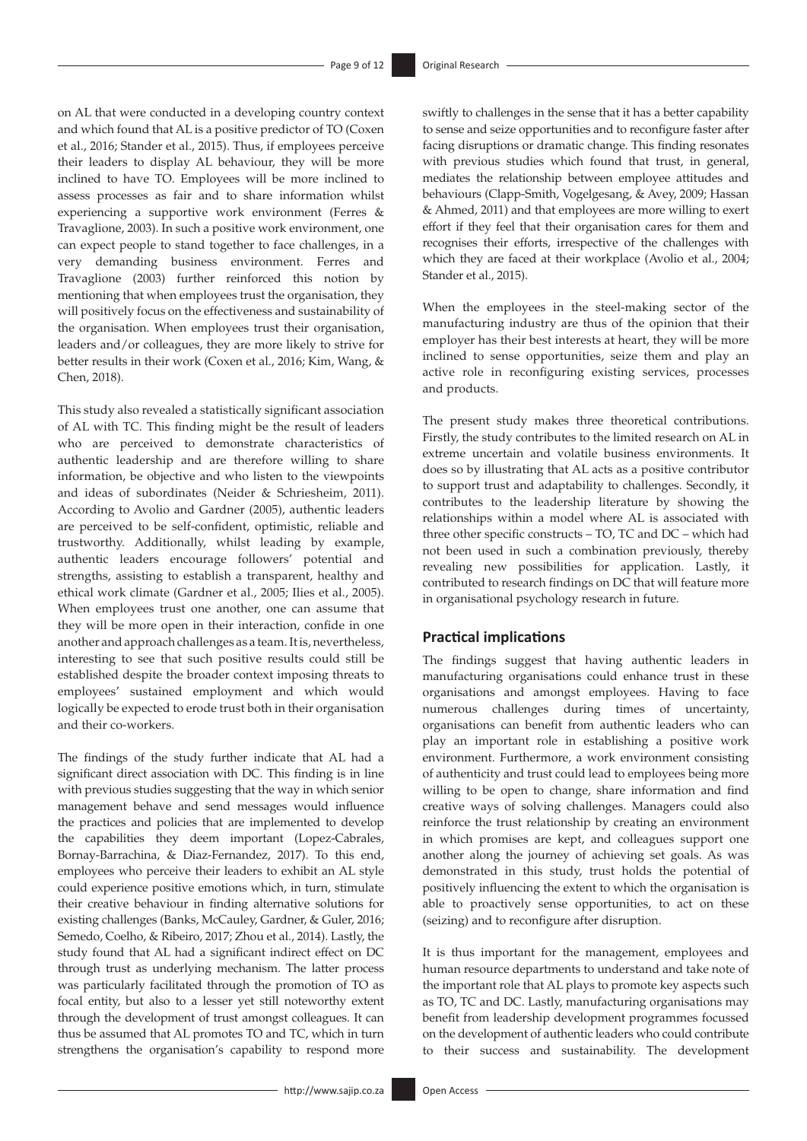on AL that were conducted in a developing country context and which found that AL is a positive predictor of TO (Coxen et al., 2016; Stander et al., 2015). Thus, if employees perceive their leaders to display AL behaviour, they will be more inclined to have TO. Employees will be more inclined to assess processes as fair and to share information whilst experiencing a supportive work environment (Ferres & Travaglione, 2003). In such a positive work environment, one can expect people to stand together to face challenges, in a very demanding business environment. Ferres and Travaglione (2003) further reinforced this notion by mentioning that when employees trust the organisation, they will positively focus on the effectiveness and sustainability of the organisation. When employees trust their organisation, leaders and/or colleagues, they are more likely to strive for better results in their work (Coxen et al., 2016; Kim, Wang, & Chen, 2018).

This study also revealed a statistically significant association of AL with TC. This finding might be the result of leaders who are perceived to demonstrate characteristics of authentic leadership and are therefore willing to share information, be objective and who listen to the viewpoints and ideas of subordinates (Neider & Schriesheim, 2011). According to Avolio and Gardner (2005), authentic leaders are perceived to be self-confident, optimistic, reliable and trustworthy. Additionally, whilst leading by example, authentic leaders encourage followers' potential and strengths, assisting to establish a transparent, healthy and ethical work climate (Gardner et al., 2005; Ilies et al., 2005). When employees trust one another, one can assume that they will be more open in their interaction, confide in one another and approach challenges as a team. It is, nevertheless, interesting to see that such positive results could still be established despite the broader context imposing threats to employees' sustained employment and which would logically be expected to erode trust both in their organisation and their co-workers.

The findings of the study further indicate that AL had a significant direct association with DC. This finding is in line with previous studies suggesting that the way in which senior management behave and send messages would influence the practices and policies that are implemented to develop the capabilities they deem important (Lopez-Cabrales, Bornay-Barrachina, & Diaz-Fernandez, 2017). To this end, employees who perceive their leaders to exhibit an AL style could experience positive emotions which, in turn, stimulate their creative behaviour in finding alternative solutions for existing challenges (Banks, McCauley, Gardner, & Guler, 2016; Semedo, Coelho, & Ribeiro, 2017; Zhou et al., 2014). Lastly, the study found that AL had a significant indirect effect on DC through trust as underlying mechanism. The latter process was particularly facilitated through the promotion of TO as focal entity, but also to a lesser yet still noteworthy extent through the development of trust amongst colleagues. It can thus be assumed that AL promotes TO and TC, which in turn strengthens the organisation's capability to respond more

swiftly to challenges in the sense that it has a better capability to sense and seize opportunities and to reconfigure faster after facing disruptions or dramatic change. This finding resonates with previous studies which found that trust, in general, mediates the relationship between employee attitudes and behaviours (Clapp-Smith, Vogelgesang, & Avey, 2009; Hassan & Ahmed, 2011) and that employees are more willing to exert effort if they feel that their organisation cares for them and recognises their efforts, irrespective of the challenges with which they are faced at their workplace (Avolio et al., 2004; Stander et al., 2015).

When the employees in the steel-making sector of the manufacturing industry are thus of the opinion that their employer has their best interests at heart, they will be more inclined to sense opportunities, seize them and play an active role in reconfiguring existing services, processes and products.

The present study makes three theoretical contributions. Firstly, the study contributes to the limited research on AL in extreme uncertain and volatile business environments. It does so by illustrating that AL acts as a positive contributor to support trust and adaptability to challenges. Secondly, it contributes to the leadership literature by showing the relationships within a model where AL is associated with three other specific constructs – TO, TC and DC – which had not been used in such a combination previously, thereby revealing new possibilities for application. Lastly, it contributed to research findings on DC that will feature more in organisational psychology research in future.

## **Practical implications**

The findings suggest that having authentic leaders in manufacturing organisations could enhance trust in these organisations and amongst employees. Having to face numerous challenges during times of uncertainty, organisations can benefit from authentic leaders who can play an important role in establishing a positive work environment. Furthermore, a work environment consisting of authenticity and trust could lead to employees being more willing to be open to change, share information and find creative ways of solving challenges. Managers could also reinforce the trust relationship by creating an environment in which promises are kept, and colleagues support one another along the journey of achieving set goals. As was demonstrated in this study, trust holds the potential of positively influencing the extent to which the organisation is able to proactively sense opportunities, to act on these (seizing) and to reconfigure after disruption.

It is thus important for the management, employees and human resource departments to understand and take note of the important role that AL plays to promote key aspects such as TO, TC and DC. Lastly, manufacturing organisations may benefit from leadership development programmes focussed on the development of authentic leaders who could contribute to their success and sustainability. The development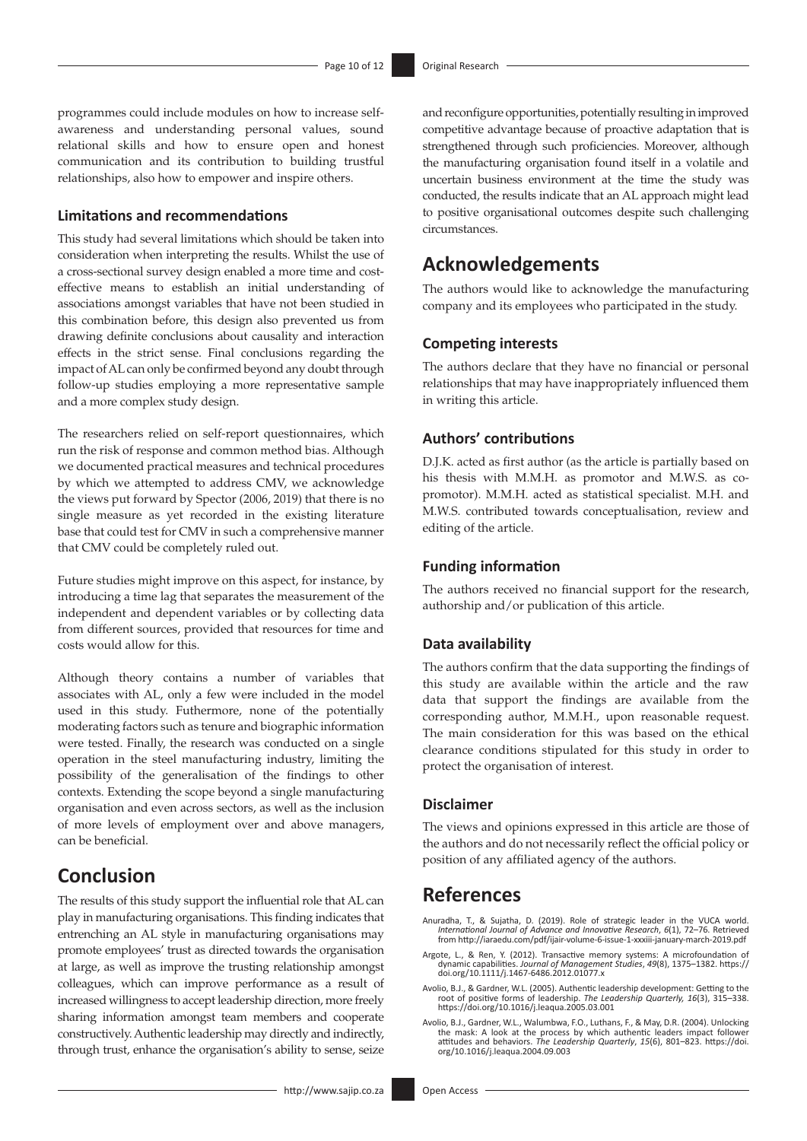programmes could include modules on how to increase selfawareness and understanding personal values, sound relational skills and how to ensure open and honest communication and its contribution to building trustful relationships, also how to empower and inspire others.

## **Limitations and recommendations**

This study had several limitations which should be taken into consideration when interpreting the results. Whilst the use of a cross-sectional survey design enabled a more time and costeffective means to establish an initial understanding of associations amongst variables that have not been studied in this combination before, this design also prevented us from drawing definite conclusions about causality and interaction effects in the strict sense. Final conclusions regarding the impact of AL can only be confirmed beyond any doubt through follow-up studies employing a more representative sample and a more complex study design.

The researchers relied on self-report questionnaires, which run the risk of response and common method bias. Although we documented practical measures and technical procedures by which we attempted to address CMV, we acknowledge the views put forward by Spector (2006, 2019) that there is no single measure as yet recorded in the existing literature base that could test for CMV in such a comprehensive manner that CMV could be completely ruled out.

Future studies might improve on this aspect, for instance, by introducing a time lag that separates the measurement of the independent and dependent variables or by collecting data from different sources, provided that resources for time and costs would allow for this.

Although theory contains a number of variables that associates with AL, only a few were included in the model used in this study. Futhermore, none of the potentially moderating factors such as tenure and biographic information were tested. Finally, the research was conducted on a single operation in the steel manufacturing industry, limiting the possibility of the generalisation of the findings to other contexts. Extending the scope beyond a single manufacturing organisation and even across sectors, as well as the inclusion of more levels of employment over and above managers, can be beneficial.

# **Conclusion**

The results of this study support the influential role that AL can play in manufacturing organisations. This finding indicates that entrenching an AL style in manufacturing organisations may promote employees' trust as directed towards the organisation at large, as well as improve the trusting relationship amongst colleagues, which can improve performance as a result of increased willingness to accept leadership direction, more freely sharing information amongst team members and cooperate constructively. Authentic leadership may directly and indirectly, through trust, enhance the organisation's ability to sense, seize

and reconfigure opportunities, potentially resulting in improved competitive advantage because of proactive adaptation that is strengthened through such proficiencies. Moreover, although the manufacturing organisation found itself in a volatile and uncertain business environment at the time the study was conducted, the results indicate that an AL approach might lead to positive organisational outcomes despite such challenging circumstances.

# **Acknowledgements**

The authors would like to acknowledge the manufacturing company and its employees who participated in the study.

#### **Competing interests**

The authors declare that they have no financial or personal relationships that may have inappropriately influenced them in writing this article.

# **Authors' contributions**

D.J.K. acted as first author (as the article is partially based on his thesis with M.M.H. as promotor and M.W.S. as copromotor). M.M.H. acted as statistical specialist. M.H. and M.W.S. contributed towards conceptualisation, review and editing of the article.

#### **Funding information**

The authors received no financial support for the research, authorship and/or publication of this article.

## **Data availability**

The authors confirm that the data supporting the findings of this study are available within the article and the raw data that support the findings are available from the corresponding author, M.M.H., upon reasonable request. The main consideration for this was based on the ethical clearance conditions stipulated for this study in order to protect the organisation of interest.

## **Disclaimer**

The views and opinions expressed in this article are those of the authors and do not necessarily reflect the official policy or position of any affiliated agency of the authors.

# **References**

- Anuradha, T., & Sujatha, D. (2019). Role of strategic leader in the VUCA world.<br>International Journal of Advance and Innovative Research, 6(1), 72–76. Retrieved.<br>from http://iaraedu.com/pdf/ijair-volume-6-issue-1-xxxiii-ja
- Argote, L., & Ren, Y. (2012). Transactive memory systems: A microfoundation of<br>dynamic capabilities. *Journal of Management Studies, 49*(8), 1375–1382. [https://](https://doi.org/10.1111/j.1467-6486.2012.01077.x)<br>[doi.org/10.1111/j.1467-6486.2012.01077.x](https://doi.org/10.1111/j.1467-6486.2012.01077.x)
- Avolio, B.J., & Gardner, W.L. (2005). Authentic leadership development: Getting to the root of positive forms of leadership. *The Leadership Quarterly, 16*(3), 315–338. <https://doi.org/10.1016/j.leaqua.2005.03.001>
- Avolio, B.J., Gardner, W.L., Walumbwa, F.O., Luthans, F., & May, D.R. (2004). Unlocking the mask: A look at the process by which authentic leaders impact follower attitudes and behaviors. *The Leadership Quarterly*, *15*(6), 801–823. [https://doi.](https://doi.org/10.1016/j.leaqua.2004.09.003) [org/10.1016/j.leaqua.2004.09.003](https://doi.org/10.1016/j.leaqua.2004.09.003)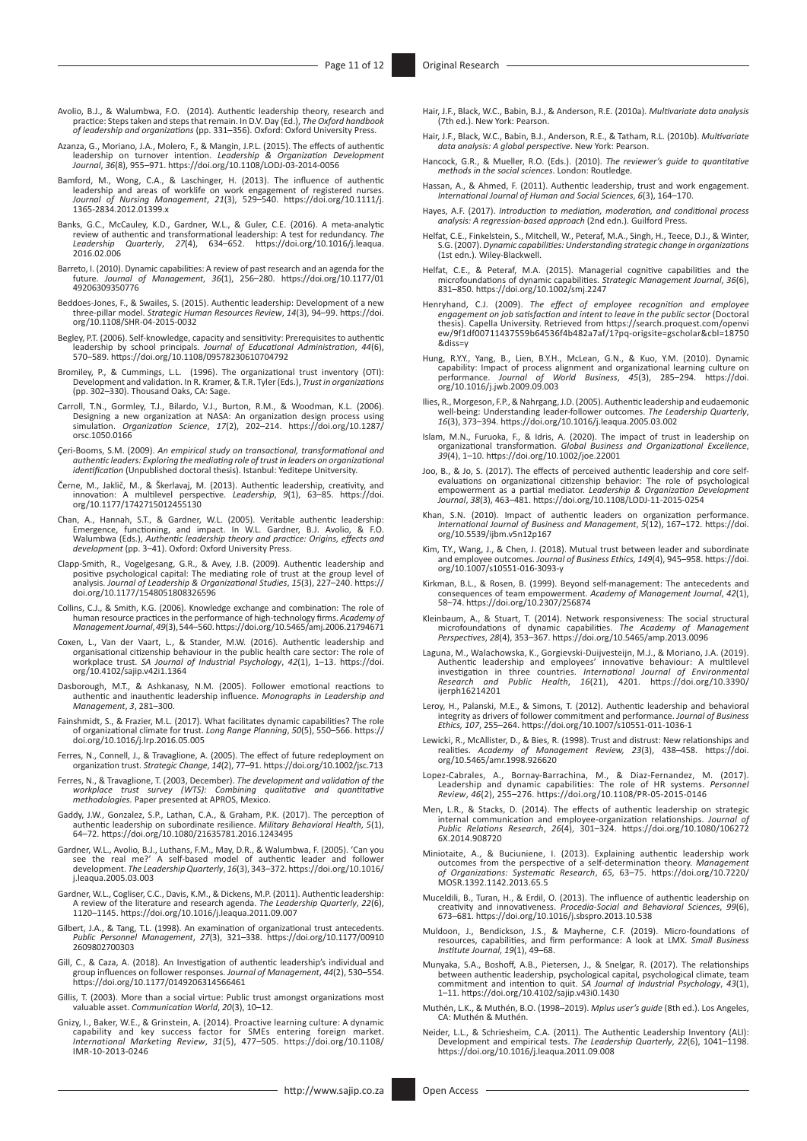- Avolio, B.J., & Walumbwa, F.O. (2014). Authentic leadership theory, research and practice: Steps taken and steps that remain. In D.V. Day (Ed.), *The Oxford handbook of leadership and organizations* (pp. 331–356). Oxford: Oxford University Press.
- Azanza, G., Moriano, J.A., Molero, F., & Mangin, J.P.L. (2015). The effects of authentic leadership on turnover intention. *Leadership & Organization Development Journal*, *36*(8), 955–971.<https://doi.org/10.1108/LODJ-03-2014-0056>
- Bamford, M., Wong, C.A., & Laschinger, H. (2013). The influence of authentic leadership and areas of worklife on work engagement of registered nurses.<br>Journal of Nursing Management, 21(3), 529–540. https://doi.org/10.1111/
- Banks, G.C., McCauley, K.D., Gardner, W.L., & Guler, C.E. (2016). A meta-analytic review of authentic and transformational leadership: A test for redundancy. The Leadership Quarterly, 27(4), 634–652. https://doi.org/10.101
- Barreto, I. (2010). Dynamic capabilities: A review of past research and an agenda for the future. *Journal of Management*, *36*(1), 256–280. [https://doi.org/10.1177/01](https://doi.org/10.1177/01​49206309350776) [49206309350776](https://doi.org/10.1177/01​49206309350776)
- Beddoes-Jones, F., & Swailes, S. (2015). Authentic leadership: Development of a new<br>three-pillar model. *Strategic Human Resources Review*, *14*(3), 94–99. [https://doi.](https://doi.org/10.1108/SHR-04-2015-0032)<br>[org/10.1108/SHR-04-2015-0032](https://doi.org/10.1108/SHR-04-2015-0032)
- Begley, P.T. (2006). Self-knowledge, capacity and sensitivity: Prerequisites to authentic leadership by school principals. *Journal of Educational Administration*, *44*(6), 570–589. <https://doi.org/10.1108/09578230610704792>
- Bromiley, P., & Cummings, L.L. (1996). The organizational trust inventory (OTI): Development and validation. In R. Kramer, & T.R. Tyler (Eds.), *Trust in organizations* (pp. 302–330). Thousand Oaks, CA: Sage.
- Carroll, T.N., Gormley, T.J., Bilardo, V.J., Burton, R.M., & Woodman, K.L. (2006). Designing a new organization at NASA: An organization design process using simulation. *Organization Science*, *17*(2), 202–214. [https://doi.org/10.1287/](https://doi.org/10.1287/orsc.1050.0166) [orsc.1050.0166](https://doi.org/10.1287/orsc.1050.0166)
- Çeri-Booms, S.M. (2009). *An empirical study on transactional, transformational and authentic leaders: Exploring the mediating role of trust in leaders on organizational identification* (Unpublished doctoral thesis). Istanbul: Yeditepe Unitversity.
- Černe, M., Jaklič, M., & Škerlavaj, M. (2013). Authentic leadership, creativity, and innovation: A multilevel perspective. *Leadership*, *9*(1), 63–85. [https://doi.](https://doi.org/10.1177/1742715012455130) [org/10.1177/1742715012455130](https://doi.org/10.1177/1742715012455130)
- Chan, A., Hannah, S.T., & Gardner, W.L. (2005). Veritable authentic leadership:<br>Emergence, functioning, and impact. In W.L. Gardner, B.J. Avolio, & F.O.<br>Walumbwa (Eds.), Authentic leadership theory and practice: Origins, e
- Clapp-Smith, R., Vogelgesang, G.R., & Avey, J.B. (2009). Authentic leadership and positive psychological capital: The mediating role of trust at the group level of analysis. *Journal of Leadership & Organizational Studies*, *15*(3), 227–240. [https://](https://doi.org/10.1177/1548051808326596) [doi.org/10.1177/1548051808326596](https://doi.org/10.1177/1548051808326596)
- Collins, C.J., & Smith, K.G. (2006). Knowledge exchange and combination: The role of human resource practices in the performance of high-technology firms. *Academy of Management Journal*, *49*(3), 544–560.<https://doi.org/10.5465/amj.2006.21794671>
- Coxen, L., Van der Vaart, L., & Stander, M.W. (2016). Authentic leadership and<br>organisational citizenship behaviour in the public health care sector: The role of<br>workplace trust. *SA Journal of Industrial Psychology, 42*(1 [org/10.4102/sajip.v42i1.1364](https://doi.org/10.4102/sajip.v42i1.1364)
- Dasborough, M.T., & Ashkanasy, N.M. (2005). Follower emotional reactions to authentic and inauthentic leadership influence. *Monographs in Leadership and Management*, *3*, 281–300.
- Fainshmidt, S., & Frazier, M.L. (2017). What facilitates dynamic capabilities? The role of organizational climate for trust. *Long Range Planning*, *50*(5), 550–566. [https://](https://doi.org/10.1016/j.lrp.2016.05.005) [doi.org/10.1016/j.lrp.2016.05.005](https://doi.org/10.1016/j.lrp.2016.05.005)
- Ferres, N., Connell, J., & Travaglione, A. (2005). The effect of future redeployment on organization trust. *Strategic Change*, *14*(2), 77–91. <https://doi.org/10.1002/jsc.713>
- Ferres, N., & Travaglione, T. (2003, December). *The development and validation of the workplace trust survey (WTS): Combining qualitative and quantitative methodologies.* Paper presented at APROS, Mexico.
- Gaddy, J.W., Gonzalez, S.P., Lathan, C.A., & Graham, P.K. (2017). The perception of authentic leadership on subordinate resilience. *Military Behavioral Health*, *5*(1), 64–72. <https://doi.org/10.1080/21635781.2016.1243495>
- Gardner, W.L., Avolio, B.J., Luthans, F.M., May, D.R., & Walumbwa, F. (2005). 'Can you<br>see the real me?' A self-based model of authentic leader and follower<br>development. The Leadership Quarterly, 16(3), 343-372. https://do [j.leaqua.2005.03.003](https://doi.org/10.1016/​j.leaqua.2005.03.003)
- Gardner, W.L., Cogliser, C.C., Davis, K.M., & Dickens, M.P. (2011). Authentic leadership: A review of the literature and research agenda. *The Leadership Quarterly*, *22*(6), 1120–1145.<https://doi.org/10.1016/j.leaqua.2011.09.007>
- Gilbert, J.A., & Tang, T.L. (1998). An examination of organizational trust antecedents. *Public Personnel Management*, *27*(3), 321–338. [https://doi.org/10.1177/00910](https://doi.org/10.1177/00910​2609802700303) [2609802700303](https://doi.org/10.1177/00910​2609802700303)
- Gill, C., & Caza, A. (2018). An Investigation of authentic leadership's individual and group influences on follower responses. *Journal of Management*, *44*(2), 530–554. <https://doi.org/10.1177/0149206314566461>
- Gillis, T. (2003). More than a social virtue: Public trust amongst organizations most valuable asset. *Communication World*, *20*(3), 10–12.
- Gnizy, I., Baker, W.E., & Grinstein, A. (2014). Proactive learning culture: A dynamic capability and key success factor for SMEs entering foreign market. *International Marketing Review*, *31*(5), 477–505. [https://doi.org/10.1108/](https://doi.org/10.1108/IMR-10-2013-0246) [IMR-10-2013-0246](https://doi.org/10.1108/IMR-10-2013-0246)
- Hair, J.F., Black, W.C., Babin, B.J., & Anderson, R.E. (2010a). *Multivariate data analysis* (7th ed.). New York: Pearson.
- Hair, J.F., Black, W.C., Babin, B.J., Anderson, R.E., & Tatham, R.L. (2010b). *Multivariate data analysis: A global perspective*. New York: Pearson.
- Hancock, G.R., & Mueller, R.O. (Eds.). (2010). *The reviewer's guide to quantitative methods in the social sciences*. London: Routledge.
- Hassan, A., & Ahmed, F. (2011). Authentic leadership, trust and work engagement. *International Journal of Human and Social Sciences*, *6*(3), 164–170.
- Hayes, A.F. (2017). *Introduction to mediation, moderation, and conditional process analysis: A regression-based approach* (2nd edn.)*.* Guilford Press.
- Helfat, C.E., Finkelstein, S., Mitchell, W., Peteraf, M.A., Singh, H., Teece, D.J., & Winter, S.G. (2007). *Dynamic capabilities: Understanding strategic change in organizations*  (1st edn.). Wiley-Blackwell.
- Helfat, C.E., & Peteraf, M.A. (2015). Managerial cognitive capabilities and the microfoundations of dynamic capabilities. *Strategic Management Journal*, *36*(6), 831–850.<https://doi.org/10.1002/smj.2247>
- Henryhand, C.J. (2009). The effect of employee recognition and employee<br>engagement on job satisfaction and intent to leave in the public sector (Doctoral<br>thesis). Capella University. Retrieved from https://search.proquest. [ew/9f1df00711437559b64536f4b482a7af/1?pq-origsite=gscholar&cbl=18750](https://search.proquest.com/openview/9f1df00711437559b64536f4b482a7af/1?pq-origsite=gscholar&cbl=18750&diss=y) [&diss=y](https://search.proquest.com/openview/9f1df00711437559b64536f4b482a7af/1?pq-origsite=gscholar&cbl=18750&diss=y)
- Hung, R.Y.Y., Yang, B., Lien, B.Y.H., McLean, G.N., & Kuo, Y.M. (2010). Dynamic<br>capability: Impact of process alignment and organizational learning culture on<br>performance. Journal of World Business, 45(3), 285–294. https:/ [org/10.1016/j.jwb.2009.09.003](https://doi.org/10.1016/j.jwb.2009.09.003)
- Ilies, R., Morgeson, F.P., & Nahrgang, J.D. (2005). Authentic leadership and eudaemonic well-being: Understanding leader-follower outcomes. *The Leadership Quarterly*, *16*(3), 373–394.<https://doi.org/10.1016/j.leaqua.2005.03.002>
- Islam, M.N., Furuoka, F., & Idris, A. (2020). The impact of trust in leadership on organizational transformation. *Global Business and Organizational Excellence*, *39*(4), 1–10. <https://doi.org/10.1002/joe.22001>
- Joo, B., & Jo, S. (2017). The effects of perceived authentic leadership and core selfevaluations on organizational citizenship behavior: The role of psychological empowerment as a partial mediator. *Leadership & Organization Development Journal*, *38*(3), 463–481.<https://doi.org/10.1108/LODJ-11-2015-0254>
- Khan, S.N. (2010). Impact of authentic leaders on organization performance. *International Journal of Business and Management*, *5*(12), 167–172. [https://doi.](https://doi.org/10.5539/ijbm.v5n12p167) [org/10.5539/ijbm.v5n12p167](https://doi.org/10.5539/ijbm.v5n12p167)
- Kim, T.Y., Wang, J., & Chen, J. (2018). Mutual trust between leader and subordinate and employee outcomes. *Journal of Business Ethics, 149*(4), 945–958. [https://doi.](https://doi.org/10.1007/s10551-016-3093-y) [org/10.1007/s10551-016-3093-y](https://doi.org/10.1007/s10551-016-3093-y)
- Kirkman, B.L., & Rosen, B. (1999). Beyond self-management: The antecedents and consequences of team empowerment. *Academy of Management Journal*, *42*(1), 58–74.<https://doi.org/10.2307/256874>
- Kleinbaum, A., & Stuart, T. (2014). Network responsiveness: The social structural microfoundations of dynamic capabilities. *The Academy of Management Perspectives*, *28*(4), 353–367. <https://doi.org/10.5465/amp.2013.0096>
- Laguna, M., Walachowska, K., Gorgievski-Duijvesteijn, M.J., & Moriano, J.A. (2019).<br>Authentic leadership and employees' innovative behaviour: A multilevel<br>investigation in three countries. International Journal of Environm [ijerph16214201](https://doi.org/10.3390/ijerph16214201)
- Leroy, H., Palanski, M.E., & Simons, T. (2012). Authentic leadership and behavioral<br>integrity as drivers of follower commitment and performance. Journal of Business<br>Ethics, 107, 255-264. https://doi.org/10.1007/s10551-011-
- Lewicki, R., McAllister, D., & Bies, R. (1998). Trust and distrust: New relationships and realities. *Academy of Management Review, 23*(3), 438–458. [https://doi.](https://doi.org/10.5465/amr.1998.926620) [org/10.5465/amr.1998.926620](https://doi.org/10.5465/amr.1998.926620)
- Lopez-Cabrales, A., Bornay-Barrachina, M., & Diaz-Fernandez, M. (2017). Leadership and dynamic capabilities: The role of HR systems. *Personnel Review*, *46*(2), 255–276.<https://doi.org/10.1108/PR-05-2015-0146>
- Men, L.R., & Stacks, D. (2014). The effects of authentic leadership on strategic internal communication and employee-organization relationships. *Journal of Public Relations Research*, *26*(4), 301–324. [https://doi.org/10.1080/106272](https://doi.org/10.1080/1062726X.2014.908720) [6X.2014.908720](https://doi.org/10.1080/1062726X.2014.908720)
- Miniotaite, A., & Buciuniene, I. (2013). Explaining authentic leadership work<br>outcomes from the perspective of a self-determination theory. Management<br>of Organizations: Systematic Research, 65, 63-75. https://doi.org/10.72 [MOSR.1392.1142.2013.65.5](https://doi.org/10.7220/MOSR.1392.1142.2013.65.5)
- Muceldili, B., Turan, H., & Erdil, O. (2013). The influence of authentic leadership on<br>creativity and innovativeness. Procedia-Social and Behavioral Sciences, 99(6),<br>673–681.<https://doi.org/10.1016/j.sbspro.2013.10.538>
- Muldoon, J., Bendickson, J.S., & Mayherne, C.F. (2019). Micro-foundations of resources, capabilities, and firm performance: A look at LMX. *Small Business Institute Journal*, *19*(1), 49–68.
- Munyaka, S.A., Boshoff, A.B., Pietersen, J., & Snelgar, R. (2017). The relationships<br>between authentic leadership, psychological capital, psychological climate, team<br>commitment and intention to quit. SA Journal of Industri
- Muthén, L.K., & Muthén, B.O. (1998–2019). *Mplus user's guide* (8th ed.). Los Angeles, CA: Muthén & Muthén.
- Neider, L.L., & Schriesheim, C.A. (2011). The Authentic Leadership Inventory (ALI): Development and empirical tests. *The Leadership Quarterly*, *22*(6), 1041–1198. <https://doi.org/10.1016/j.leaqua.2011.09.008>